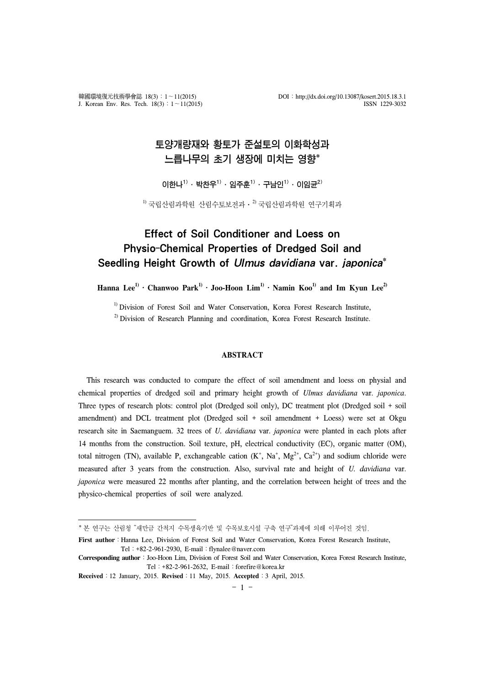# 토양개량재와 황토가 준설토의 이화학성과 느릅나무의 초기 생장에 미치는 영향\*

 $0$ [한나<sup>1)</sup> ・ 박찬우<sup>1)</sup> ・ 임주훈<sup>1)</sup> ・ 구남인<sup>1)</sup> ・ 이임균<sup>2)</sup>

 $^{1)}$  국립산림과학원 산림수토보전과 ·  $^{2)}$  국립산림과학원 연구기획과

# Effect of Soil Conditioner and Loess on Physio-Chemical Properties of Dredged Soil and Seedling Height Growth of Ulmus davidiana var. japonica\*

**Hanna Lee1)**․**Chanwoo Park1)**․**Joo-Hoon Lim1)**․**Namin Koo1) and Im Kyun Lee2)**

<sup>1)</sup> Division of Forest Soil and Water Conservation, Korea Forest Research Institute,

 $^{2)}$  Division of Research Planning and coordination, Korea Forest Research Institute.

#### **ABSTRACT**

This research was conducted to compare the effect of soil amendment and loess on physial and chemical properties of dredged soil and primary height growth of *Ulmus davidiana* var. *japonica*. Three types of research plots: control plot (Dredged soil only), DC treatment plot (Dredged soil + soil amendment) and DCL treatment plot (Dredged soil + soil amendment + Loess) were set at Okgu research site in Saemanguem. 32 trees of *U. davidiana* var. *japonica* were planted in each plots after 14 months from the construction. Soil texture, pH, electrical conductivity (EC), organic matter (OM), total nitrogen (TN), available P, exchangeable cation  $(K^+, Na^+, Mg^{2+}, Ca^{2+})$  and sodium chloride were measured after 3 years from the construction. Also, survival rate and height of *U. davidiana* var. *japonica* were measured 22 months after planting, and the correlation between height of trees and the physico-chemical properties of soil were analyzed.

<sup>\*</sup> 본 연구는 산림청 "새만금 간척지 수목생육기반 및 수목보호시설 구축 연구"과제에 의해 이루어진 것임.

First author : Hanna Lee, Division of Forest Soil and Water Conservation, Korea Forest Research Institute, Tel:+82-2-961-2930, E-mail:flynalee@naver.com

**Corresponding author**:Joo-Hoon Lim, Division of Forest Soil and Water Conservation, Korea Forest Research Institute, Tel:+82-2-961-2632, E-mail:forefire@korea.kr

**Received**:12 January, 2015. **Revised**:11 May, 2015. **Accepted**:3 April, 2015.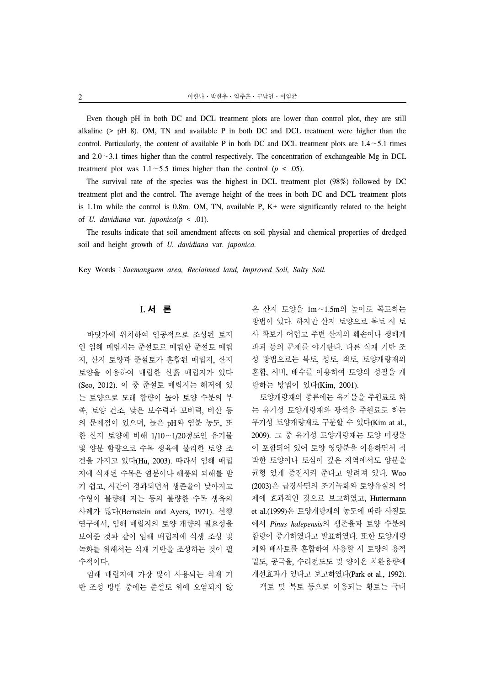Even though pH in both DC and DCL treatment plots are lower than control plot, they are still alkaline (> pH 8). OM, TN and available P in both DC and DCL treatment were higher than the control. Particularly, the content of available P in both DC and DCL treatment plots are 1.4∼5.1 times and 2.0∼3.1 times higher than the control respectively. The concentration of exchangeable Mg in DCL treatment plot was 1.1∼5.5 times higher than the control (*p* < .05).

The survival rate of the species was the highest in DCL treatment plot (98%) followed by DC treatment plot and the control. The average height of the trees in both DC and DCL treatment plots is 1.1m while the control is 0.8m. OM, TN, available P,  $K^+$  were significantly related to the height of *U. davidiana* var. *japonica*(*p* < .01).

The results indicate that soil amendment affects on soil physial and chemical properties of dredged soil and height growth of *U. davidiana* var. *japonica.*

Key Words:*Saemanguem area, Reclaimed land, Improved Soil, Salty Soil.*

# I. 서 론

바닷가에 위치하여 인공적으로 조성된 토지 인 임해 매립지는 준설토로 매립한 준설토 매립 지, 산지 토양과 준설토가 혼합된 매립지, 산지 토양을 이용하여 매립한 산흙 매립지가 있다 (Seo, 2012). 이 중 준설토 매립지는 해저에 있 는 토양으로 모래 함량이 높아 토양 수분의 부 족, 토양 건조, 낮은 보수력과 보비력, 비산 등 의 문제점이 있으며, 높은 pH와 염분 농도, 또 한 산지 토양에 비해 1/10∼1/20정도인 유기물 및 양분 함량으로 수목 생육에 불리한 토양 조 건을 가지고 있다(Hu, 2003). 따라서 임해 매립 지에 식재된 수목은 염분이나 해풍의 피해를 받 기 쉽고, 시간이 경과되면서 생존율이 낮아지고 수형이 불량해 지는 등의 불량한 수목 생육의 사례가 많다(Bernstein and Ayers, 1971). 선행 연구에서, 임해 매립지의 토양 개량의 필요성을 보여준 것과 같이 임해 매립지에 식생 조성 및 녹화를 위해서는 식재 기반을 조성하는 것이 필 수적이다.

임해 매립지에 가장 많이 사용되는 식재 기 반 조성 방법 중에는 준설토 위에 오염되지 않

은 산지 토양을 1m∼1.5m의 높이로 복토하는 방법이 있다. 하지만 산지 토양으로 복토 시 토 사 확보가 어렵고 주변 산지의 훼손이나 생태계 파괴 등의 문제를 야기한다. 다른 식재 기반 조 성 방법으로는 복토, 성토, 객토, 토양개량재의 혼합, 시비, 배수를 이용하여 토양의 성질을 개 량하는 방법이 있다(Kim, 2001).

토양개량재의 종류에는 유기물을 주원료로 하 는 유기성 토양개량재와 광석을 주원료로 하는 무기성 토양개량재로 구분할 수 있다(Kim at al., 2009). 그 중 유기성 토양개량재는 토양 미생물 이 포함되어 있어 토양 영양분을 이용하면서 척 박한 토양이나 토심이 깊은 지역에서도 양분을 균형 있게 증진시켜 준다고 알려져 있다. Woo (2003)은 급경사면의 조기녹화와 토양유실의 억 제에 효과적인 것으로 보고하였고, Huttermann et al.(1999)은 토양개량재의 농도에 따라 사질토 에서 *Pinus halepensis*의 생존율과 토양 수분의 함량이 증가하였다고 발표하였다. 또한 토양개량 재와 배사토를 혼합하여 사용할 시 토양의 용적 밀도, 공극율, 수리전도도 및 양이온 치환용량에 개선효과가 있다고 보고하였다(Park et al., 1992). 객토 및 복토 등으로 이용되는 황토는 국내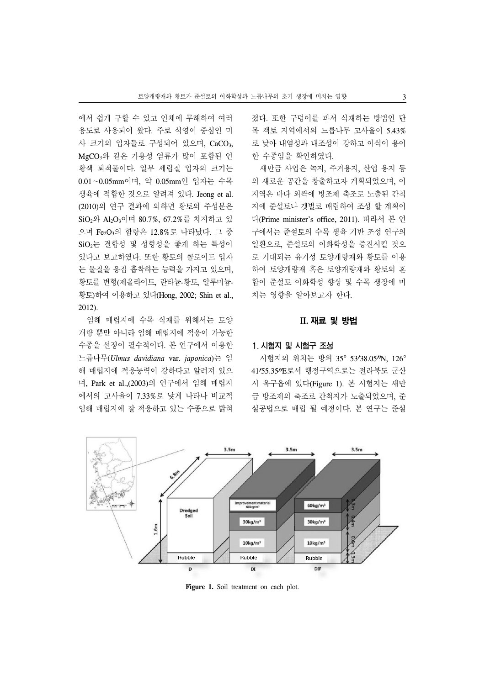에서 쉽게 구할 수 있고 인체에 무해하여 여러 용도로 사용되어 왔다. 주로 석영이 중심인 미 사 크기의 입자들로 구성되어 있으며, CaCO3, MgCO3와 같은 가용성 염류가 많이 포함된 연 황색 퇴적물이다. 일부 세립질 입자의 크기는 0.01∼0.05mm이며, 약 0.05mm인 입자는 수목 생육에 적합한 것으로 알려져 있다. Jeong et al. (2010)의 연구 결과에 의하면 황토의 주성분은 SiO2와 Al2O3이며 80.7%, 67.2%를 차지하고 있 으며 Fe2O3의 함량은 12.8%로 나타났다. 그 중 SiO<sub>2</sub>는 결합성 및 성형성을 좋게 하는 특성이 있다고 보고하였다. 또한 황토의 콜로이드 입자 는 물질을 응집 흡착하는 능력을 가지고 있으며, 황토를 변형(제올라이트, 란타늄-황토, 알루미늄-황토)하여 이용하고 있다(Hong, 2002; Shin et al., 2012).

임해 매립지에 수목 식재를 위해서는 토양 개량 뿐만 아니라 임해 매립지에 적응이 가능한 수종을 선정이 필수적이다. 본 연구에서 이용한 느릅나무(*Ulmus davidiana* var. *japonica*)는 임 해 매립지에 적응능력이 강하다고 알려져 있으 며, Park et al.,(2003)의 연구에서 임해 매립지 에서의 고사율이 7.33%로 낮게 나타나 비교적 임해 매립지에 잘 적응하고 있는 수종으로 밝혀

졌다. 또한 구덩이를 파서 식재하는 방법인 단 목 객토 지역에서의 느릅나무 고사율이 5.43% 로 낮아 내염성과 내조성이 강하고 이식이 용이 한 수종임을 확인하였다.

새만금 사업은 녹지, 주거용지, 산업 용지 등 의 새로운 공간을 창출하고자 계획되었으며, 이 지역은 바다 외곽에 방조제 축조로 노출된 간척 지에 준설토나 갯벌로 매립하여 조성 할 계획이 다(Prime minister's office, 2011). 따라서 본 연 구에서는 준설토의 수목 생육 기반 조성 연구의 일환으로, 준설토의 이화학성을 증진시킬 것으 로 기대되는 유기성 토양개량재와 황토를 이용 하여 토양개량재 혹은 토양개량재와 황토의 혼 합이 준설토 이화학성 향상 및 수목 생장에 미 치는 영향을 알아보고자 한다.

# II. 재료 및 방법

# 1. 시험지 및 시험구 조성

시험지의 위치는 방위 35° 53'38.05"N, 126° 41 55.35 E로서 행정구역으로는 전라북도 군산 시 옥구읍에 있다(Figure 1). 본 시험지는 새만 금 방조제의 축조로 간척지가 노출되었으며, 준 설공법으로 매립 될 예정이다. 본 연구는 준설



Figure 1. Soil treatment on each plot.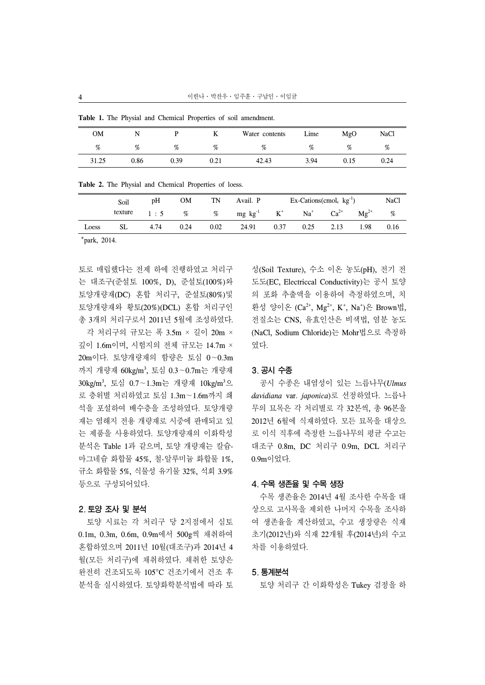| <b>OM</b> |      |      |      | Water contents | Lime | MgO  | <b>NaCl</b> |
|-----------|------|------|------|----------------|------|------|-------------|
| %         | %    | %    | $\%$ | %              | %    | %    | %           |
| 31.25     | 0.86 | 0.39 | 0.21 | 42.43          | 3.94 | 0.15 | 0.24        |

**Table 1.** The Physial and Chemical Properties of soil amendment.

| Table 2. The Physial and Chemical Properties of loess. |  |
|--------------------------------------------------------|--|
|--------------------------------------------------------|--|

|       | Soil    | pH   | <b>OM</b> | TN   | Avail. P                                                                      |      | $Ex$ -Cations(cmol <sub>c</sub> kg <sup>-1</sup> ) |      |           | <b>NaCl</b> |
|-------|---------|------|-----------|------|-------------------------------------------------------------------------------|------|----------------------------------------------------|------|-----------|-------------|
|       | texture |      |           |      | 1 : 5 % % mg kg <sup>-1</sup> K <sup>+</sup> Na <sup>+</sup> Ca <sup>2+</sup> |      |                                                    |      | $Mg^{2+}$ | %           |
| Loess | SL      | 4.74 | 0.24      | 0.02 | 24.91                                                                         | 0.37 | 0.25                                               | 2.13 | 1.98      | 0.16        |

\*park, 2014.

토로 매립했다는 전제 하에 진행하였고 처리구 는 대조구(준설토 100%, D), 준설토(100%)와 토양개량재(DC) 혼합 처리구, 준설토(80%)및 토양개량재와 황토(20%)(DCL) 혼합 처리구인 총 3개의 처리구로서 2011년 5월에 조성하였다.

각 처리구의 규모는 폭 3.5m × 길이 20m × 깊이 1.6m이며, 시험지의 전체 규모는 14.7m × 20m이다. 토양개량재의 함량은 토심 0∼0.3m 까지 개량재 60kg/m3 , 토심 0.3∼0.7m는 개량재 30kg/m<sup>3</sup> , 토심 0.7∼1.3m는 개량재 10kg/m3 으 로 층위별 처리하였고 토심 1.3m∼1.6m까지 쇄 석을 포설하여 배수층을 조성하였다. 토양개량 재는 염해지 전용 개량재로 시중에 판매되고 있 는 제품을 사용하였다. 토양개량재의 이화학성 분석은 Table 1과 같으며, 토양 개량재는 칼슘-마그네슘 화합물 45%, 철-알루미늄 화합물 1%, 규소 화합물 5%, 식물성 유기물 32%, 석회 3.9% 등으로 구성되어있다.

## 2. 토양 조사 및 분석

토양 시료는 각 처리구 당 2지점에서 심토 0.1m, 0.3m, 0.6m, 0.9m에서 500g씩 채취하여 혼합하였으며 2011년 10월(대조구)과 2014년 4 월(모든 처리구)에 채취하였다. 채취한 토양은 완전히 건조되도록 105°C 건조기에서 건조 후 분석을 실시하였다. 토양화학분석법에 따라 토 성(Soil Texture), 수소 이온 농도(pH), 전기 전 도도(EC, Electriccal Conductivity)는 공시 토양 의 포화 추출액을 이용하여 측정하였으며, 치 환성 양이온 (Ca<sup>2+</sup>, Mg<sup>2+</sup>, K<sup>+</sup>, Na<sup>+</sup>)은 Brown법, 전질소는 CNS, 유효인산은 비색법, 염분 농도 (NaCl, Sodium Chloride)는 Mohr법으로 측정하 였다.

#### 3. 공시 수종

공시 수종은 내염성이 있는 느릅나무(*Ulmus davidiana* var. *japonica*)로 선정하였다. 느릅나 무의 묘목은 각 처리별로 각 32본씩, 총 96본을 2012년 6월에 식재하였다. 모든 묘목을 대상으 로 이식 직후에 측정한 느릅나무의 평균 수고는 대조구 0.8m, DC 처리구 0.9m, DCL 처리구 0.9m이었다.

#### 4. 수목 생존율 및 수목 생장

수목 생존율은 2014년 4월 조사한 수목을 대 상으로 고사목을 제외한 나머지 수목을 조사하 여 생존율을 계산하였고, 수고 생장량은 식재 초기(2012년)와 식재 22개월 후(2014년)의 수고 차를 이용하였다.

#### 5. 통계분석

토양 처리구 간 이화학성은 Tukey 검정을 하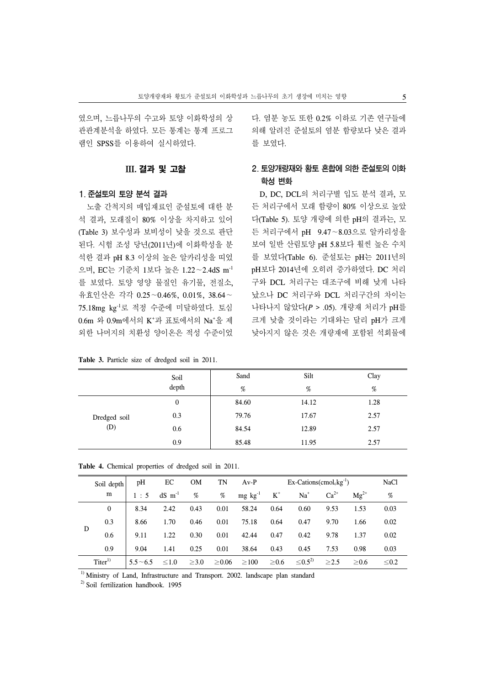였으며, 느릅나무의 수고와 토양 이화학성의 상 관관계분석을 하였다. 모든 통계는 통계 프로그 램인 SPSS를 이용하여 실시하였다.

## III. 결과 및 고찰

#### 1. 준설토의 토양 분석 결과

노출 간척지의 매입재료인 준설토에 대한 분 석 결과, 모래질이 80% 이상을 차지하고 있어 (Table 3) 보수성과 보비성이 낮을 것으로 판단 된다. 시험 조성 당년(2011년)에 이화학성을 분 석한 결과 pH 8.3 이상의 높은 알카리성을 띠었 으며, EC는 기준치 1보다 높은 1.22∼2.4dS m-1 를 보였다. 토양 영양 물질인 유기물, 전질소, 유효인산은 각각 0.25∼0.46%, 0.01%, 38.64∼ 75.18mg kg-1로 적정 수준에 미달하였다. 토심 0.6m 와 0.9m에서의 K<sup>+</sup>과 표토에서의 Na<sup>+</sup>을 제 외한 나머지의 치환성 양이온은 적성 수준이었

|  |  |  |  |  | Table 3. Particle size of dredged soil in 2011. |  |  |  |
|--|--|--|--|--|-------------------------------------------------|--|--|--|
|--|--|--|--|--|-------------------------------------------------|--|--|--|

다. 염분 농도 또한 0.2% 이하로 기존 연구들에 의해 알려진 준설토의 염분 함량보다 낮은 결과 를 보였다.

# 2. 토양개량재와 황토 혼합에 의한 준설토의 이화 학성 변화

D, DC, DCL의 처리구별 입도 분석 결과, 모 든 처리구에서 모래 함량이 80% 이상으로 높았 다(Table 5). 토양 개량에 의한 pH의 결과는, 모 든 처리구에서 pH 9.47∼8.03으로 알카리성을 보여 일반 산림토양 pH 5.8보다 훨씬 높은 수치 를 보였다(Table 6). 준설토는 pH는 2011년의 pH보다 2014년에 오히려 증가하였다. DC 처리 구와 DCL 처리구는 대조구에 비해 낮게 나타 났으나 DC 처리구와 DCL 처리구간의 차이는 나타나지 않았다(*P* > .05). 개량재 처리가 pH를 크게 낮출 것이라는 기대와는 달리 pH가 크게 낮아지지 않은 것은 개량재에 포함된 석회물에

|              | Soil             | Sand  | Silt  | Clay |
|--------------|------------------|-------|-------|------|
|              | depth            | %     | %     | %    |
|              | $\boldsymbol{0}$ | 84.60 | 14.12 | 1.28 |
| Dredged soil | 0.3              | 79.76 | 17.67 | 2.57 |
| (D)          | 0.6              | 84.54 | 12.89 | 2.57 |
|              | 0.9              | 85.48 | 11.95 | 2.57 |

|   | Soil depth   | pH             | ЕC                   | <b>OM</b>  | TN          | $Av-P$          |            | $Ex$ -Cations(cmol <sub>c</sub> kg <sup>-1</sup> ) |            |            | <b>NaCl</b> |
|---|--------------|----------------|----------------------|------------|-------------|-----------------|------------|----------------------------------------------------|------------|------------|-------------|
|   | m            | 1:5            | $dS$ m <sup>-1</sup> | %          | %           | $mg \, kg^{-1}$ | $K^+$      | $Na+$                                              | $Ca2+$     | $Mg^{2+}$  | %           |
|   | $\mathbf{0}$ | 8.34           | 2.42                 | 0.43       | 0.01        | 58.24           | 0.64       | 0.60                                               | 9.53       | 1.53       | 0.03        |
|   | 0.3          | 8.66           | 1.70                 | 0.46       | 0.01        | 75.18           | 0.64       | 0.47                                               | 9.70       | 1.66       | 0.02        |
| D | 0.6          | 9.11           | 1.22                 | 0.30       | 0.01        | 42.44           | 0.47       | 0.42                                               | 9.78       | 1.37       | 0.02        |
|   | 0.9          | 9.04           | 1.41                 | 0.25       | 0.01        | 38.64           | 0.43       | 0.45                                               | 7.53       | 0.98       | 0.03        |
|   | $Titer^{1}$  | $5.5 \sim 6.5$ | $\leq 1.0$           | $\geq 3.0$ | $\geq 0.06$ | $\geq$ 100      | $\geq 0.6$ | $\leq 0.5^{2}$                                     | $\geq$ 2.5 | $\geq 0.6$ | $\leq 0.2$  |

|  |  |  | Table 4. Chemical properties of dredged soil in 2011. |  |  |  |  |  |
|--|--|--|-------------------------------------------------------|--|--|--|--|--|
|--|--|--|-------------------------------------------------------|--|--|--|--|--|

<sup>1)</sup> Ministry of Land, Infrastructure and Transport. 2002. landscape plan standard

<sup>2)</sup> Soil fertilization handbook. 1995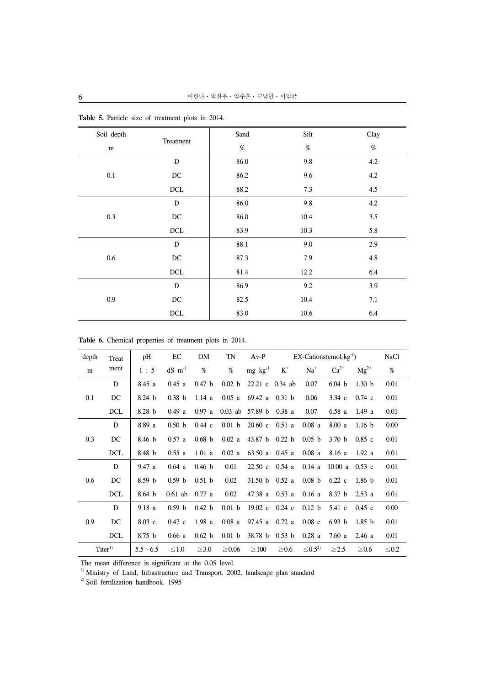| Soil depth |                     | Sand | Silt | Clay    |
|------------|---------------------|------|------|---------|
| m          | Treatment           | $\%$ | $\%$ | $\%$    |
|            | D                   | 86.0 | 9.8  | 4.2     |
| 0.1        | DC                  | 86.2 | 9.6  | 4.2     |
|            | DCL                 | 88.2 | 7.3  | 4.5     |
|            | D                   | 86.0 | 9.8  | 4.2     |
| 0.3        | $\operatorname{DC}$ | 86.0 | 10.4 | 3.5     |
|            | DCL                 | 83.9 | 10.3 | 5.8     |
|            | ${\bf D}$           | 88.1 | 9.0  | 2.9     |
| $0.6\,$    | $_{\mathrm{DC}}$    | 87.3 | 7.9  | $4.8\,$ |
|            | $\rm DCL$           | 81.4 | 12.2 | 6.4     |
|            | ${\bf D}$           | 86.9 | 9.2  | 3.9     |
| 0.9        | $\operatorname{DC}$ | 82.5 | 10.4 | 7.1     |
|            | $\rm DCL$           | 83.0 | 10.6 | 6.4     |

**Table 5.** Particle size of treatment plots in 2014.

|  |  |  | Table 6. Chemical properties of treatment plots in 2014. |  |  |  |  |  |
|--|--|--|----------------------------------------------------------|--|--|--|--|--|
|--|--|--|----------------------------------------------------------|--|--|--|--|--|

| depth | Treat       | pH                | EC                   | <b>OM</b>         | TN                | $Av-P$             |                   |                   | $EX$ -Cations(cmol <sub>c</sub> kg <sup>-1</sup> ) |                   | <b>NaCl</b> |
|-------|-------------|-------------------|----------------------|-------------------|-------------------|--------------------|-------------------|-------------------|----------------------------------------------------|-------------------|-------------|
| m     | ment        | 1:5               | $dS$ m <sup>-1</sup> | %                 | %                 | $mg \, kg^{-1}$    | $K^+$             | $Na+$             | $Ca^{2+}$                                          | $Mg^{2+}$         | %           |
|       | D           | 8.45 a            | 0.45a                | 0.47 <sub>b</sub> | 0.02 <sub>b</sub> | 22.21 c 0.34 ab    |                   | 0.07              | 6.04 b                                             | 1.30 <sub>b</sub> | 0.01        |
| 0.1   | DC          | 8.24 <sub>b</sub> | 0.38 <sub>b</sub>    | 1.14a             | 0.05 a            | 69.42 a            | 0.31 <sub>b</sub> | 0.06              | $3.34\ c$                                          | $0.74 \text{ c}$  | 0.01        |
|       | <b>DCL</b>  | 8.28 <sub>b</sub> | 0.49a                | 0.97 a            |                   | $0.03$ ab 57.89 b  | 0.38a             | 0.07              | 6.58a                                              | 1.49a             | 0.01        |
|       | D           | 8.89 a            | 0.50 <sub>b</sub>    | $0.44\,c$         | 0.01 <sub>b</sub> | $20.60 \text{ c}$  | 0.51a             | 0.08a             | 8.00a                                              | 1.16 <sub>b</sub> | 0.00        |
| 0.3   | DC          | 8.46 <sub>b</sub> | 0.57a                | 0.68 <sub>b</sub> | 0.02a             | 43.87 <sub>b</sub> | 0.22 <sub>b</sub> | 0.05 <sub>b</sub> | 3.70 <sub>b</sub>                                  | $0.85$ c          | 0.01        |
|       | <b>DCL</b>  | 8.48 <sub>b</sub> | 0.55a                | 1.01 a            | 0.02a             | 63.50 a            | 0.45a             | 0.08a             | 8.16 a                                             | 1.92a             | 0.01        |
|       | D           | 9.47a             | 0.64 a               | 0.46 <sub>b</sub> | 0.01              | 22.50c             | 0.54a             | 0.14 a            | 10.00 a $0.53$ c                                   |                   | 0.01        |
| 0.6   | DC          | 8.59 <sub>b</sub> | 0.59 b               | 0.51 <sub>b</sub> | 0.02              | 31.50 b            | 0.52a             | 0.08 <sub>b</sub> | $6.22\text{ c}$                                    | 1.86h             | 0.01        |
|       | <b>DCL</b>  | 8.64 <sub>b</sub> | $0.61$ ab            | 0.77a             | 0.02              | 47.38 a            | 0.53a             | 0.16a             | 8.37 <sub>b</sub>                                  | 2.53a             | 0.01        |
|       | D           | 9.18a             | 0.59 b               | 0.42 b            | 0.01 <sub>b</sub> | $19.02 \text{ c}$  | $0.24$ c          | 0.12 b            | $5.41\text{ c}$                                    | $0.45$ c          | 0.00        |
| 0.9   | DC          | $8.03 \text{ c}$  | $0.47\,c$            | 1.98a             | $0.08$ a          | 97.45 a            | 0.72a             | $0.08\,c$         | 6.93 b                                             | 1.85 <sub>b</sub> | 0.01        |
|       | <b>DCL</b>  | 8.75 <sub>b</sub> | 0.66a                | 0.62 <sub>b</sub> | 0.01 <sub>b</sub> | 38.78 b            | 0.53 b            | 0.28a             | 7.60a                                              | 2.46a             | 0.01        |
|       | $Titer^{1}$ | $5.5 - 6.5$       | $\leq 1.0$           | $\geq 3.0$        | $\geq 0.06$       | $\geq 100$         | $\geq 0.6$        | $\leq 0.5^{2}$    | $\geq 2.5$                                         | $\geq 0.6$        | $\leq 0.2$  |

The mean difference is significant at the 0.05 level.

<sup>1)</sup> Ministry of Land, Infrastructure and Transport. 2002. landscape plan standard

<sup>2)</sup> Soil fertilization handbook. 1995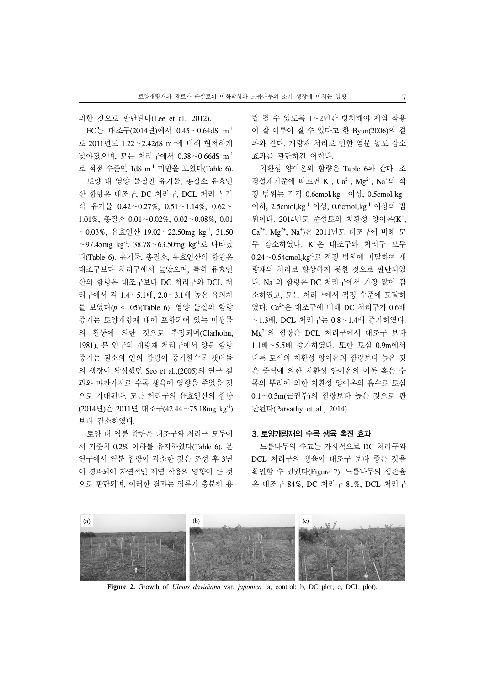의한 것으로 판단된다(Lee et al., 2012).

EC는 대조구(2014년)에서 0.45∼0.64dS m-1 로 2011년도 1.22∼2.42dS m-1에 비해 현저하게 낮아졌으며, 모든 처리구에서 0.38∼0.66dS m-1 로 적정 수준인 1dS m-1 미만을 보였다(Table 6). 토양 내 영양 물질인 유기물, 총질소 유효인 산 함량은 대조구, DC 처리구, DCL 처리구 각 각 유기물 0.42∼0.27%, 0.51∼1.14%, 0.62∼ 1.01%, 총질소 0.01∼0.02%, 0.02∼0.08%, 0.01 ∼0.03%, 유효인산 19.02∼22.50mg kg-1, 31.50 ∼97.45mg kg-1, 38.78∼63.50mg kg-1로 나타났 다(Table 6). 유기물, 총질소, 유효인산의 함량은 대조구보다 처리구에서 높았으며, 특히 유효인 산의 함량은 대조구보다 DC 처리구와 DCL 처 리구에서 각 1.4∼5.1배, 2.0∼3.1배 높은 유의차 를 보였다(*p* < .05)(Table 6). 영양 물질의 함량 증가는 토양개량재 내에 포함되어 있는 미생물 의 활동에 의한 것으로 추정되며(Clarholm, 1981), 본 연구의 개량재 처리구에서 양분 함량 증가는 질소와 인의 함량이 증가할수록 갯버들 의 생장이 왕성했던 Seo et al.,(2005)의 연구 결 과와 마찬가지로 수목 생육에 영향을 주었을 것 으로 기대된다. 모든 처리구의 유효인산의 함량 (2014년)은 2011년 대조구(42.44∼75.18mg kg-1) 보다 감소하였다.

토양 내 염분 함량은 대조구와 처리구 모두에 서 기준치 0.2% 이하를 유지하였다(Table 6). 본 연구에서 염분 함량이 감소한 것은 조성 후 3년 이 경과되어 자연적인 제염 작용의 영향이 큰 것 으로 판단되며, 이러한 결과는 염류가 충분히 용

탈 될 수 있도록 1∼2년간 방치해야 제염 작용 이 잘 이루어 질 수 있다고 한 Byun(2006)의 결 과와 같다. 개량재 처리로 인한 염분 농도 감소 효과를 판단하긴 어렵다.

치환성 양이온의 함량은 Table 6과 같다. 조 경설계기준에 따르면 K<sup>+</sup>, Ca<sup>2+</sup>, Mg<sup>2+</sup>, Na<sup>+</sup>의 적 정 범위는 각각 0.6cmolckg<sup>-1</sup> 이상, 0.5cmolckg<sup>-1</sup> 이하, 2.5cmolckg-1 이상, 0.6cmolckg-1 이상의 범 위이다. 2014년도 준설토의 치환성 양이온(K<sup>+</sup>, Ca<sup>2+</sup>, Mg<sup>2+</sup>, Na\*)은 2011년도 대조구에 비해 모 두 감소하였다. K+ 은 대조구와 처리구 모두 0.24∼0.54cmolckg-1로 적정 범위에 미달하여 개 량재의 처리로 향상하지 못한 것으로 판단되었 다. Na+ 의 함량은 DC 처리구에서 가장 많이 감 소하였고, 모든 처리구에서 적정 수준에 도달하 였다. Ca2+은 대조구에 비해 DC 처리구가 0.6배 ∼1.3배, DCL 처리구는 0.8∼1.4배 증가하였다. Mg2+의 함량은 DCL 처리구에서 대조구 보다 1.1배∼5.5배 증가하였다. 또한 토심 0.9m에서 다른 토심의 치환성 양이온의 함량보다 높은 것 은 중력에 의한 치환성 양이온의 이동 혹은 수 목의 뿌리에 의한 치환성 양이온의 흡수로 토심 0.1∼0.3m(근권부)의 함량보다 높은 것으로 판 단된다(Parvathy et al., 2014).

# 3. 토양개량재의 수목 생육 촉진 효과

느릅나무의 수고는 가시적으로 DC 처리구와 DCL 처리구의 생육이 대조구 보다 좋은 것을 확인할 수 있었다(Figure 2). 느릅나무의 생존율 은 대조구 84%, DC 처리구 81%, DCL 처리구



**Figure 2.** Growth of *Ulmus davidiana* var. *japonica* (a, control; b, DC plot; c, DCL plot).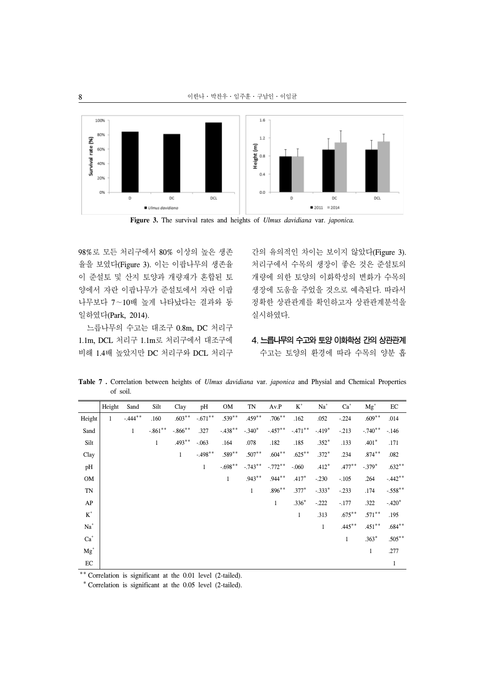

**Figure 3.** The survival rates and heights of *Ulmus davidiana* var. *japonica.*

98%로 모든 처리구에서 80% 이상의 높은 생존 율을 보였다(Figure 3). 이는 이팝나무의 생존율 이 준설토 및 산지 토양과 개량재가 혼합된 토 양에서 자란 이팝나무가 준설토에서 자란 이팝 나무보다 7∼10배 높게 나타났다는 결과와 동 일하였다(Park, 2014).

느릅나무의 수고는 대조구 0.8m, DC 처리구 1.1m, DCL 처리구 1.1m로 처리구에서 대조구에 비해 1.4배 높았지만 DC 처리구와 DCL 처리구 간의 유의적인 차이는 보이지 않았다(Figure 3). 처리구에서 수목의 생장이 좋은 것은 준설토의 개량에 의한 토양의 이화학성의 변화가 수목의 생장에 도움을 주었을 것으로 예측된다. 따라서 정확한 상관관계를 확인하고자 상관관계분석을 실시하였다.

4.느릅나무의 수고와 토양 이화학성 간의 상관관계

수고는 토양의 환경에 따라 수목의 양분 흡

**Table 7 .** Correlation between heights of *Ulmus davidiana* var. *japonica* and Physial and Chemical Properties of soil.

|                 | Height       | Sand                 | Silt         | Clay         | pH           | <b>OM</b>    | TN           | Av.P         | $K^+$        | $Na+$        | $Ca+$        | $Mg^+$       | EC           |
|-----------------|--------------|----------------------|--------------|--------------|--------------|--------------|--------------|--------------|--------------|--------------|--------------|--------------|--------------|
| Height          | $\mathbf{1}$ | $-444$ <sup>**</sup> | .160         | $.603**$     | $-.671**$    | $.539**$     | $.459**$     | $.706***$    | .162         | .052         | $-.224$      | $.609**$     | .014         |
| Sand            |              | $\mathbf{1}$         | $-.861**$    | $-.866$ **   | .327         | $-.438**$    | $-.340*$     | $-.457***$   | $-.471**$    | $-.419*$     | $-213$       | $-.740**$    | $-.146$      |
| Silt            |              |                      | $\mathbf{1}$ | $.493**$     | $-.063$      | .164         | .078         | .182         | .185         | $.352*$      | .133         | $.401*$      | .171         |
| Clay            |              |                      |              | $\mathbf{1}$ | $-.498**$    | $.589**$     | $.507**$     | $.604**$     | $.625***$    | $.372*$      | .234         | $.874***$    | .082         |
| pH              |              |                      |              |              | $\mathbf{1}$ | $-.698**$    | $-.743**$    | $-.772**$    | $-.060$      | $.412*$      | $.477**$     | $-.379*$     | $.632**$     |
| OM              |              |                      |              |              |              | $\mathbf{1}$ | $.943**$     | $.944***$    | $.417*$      | $-.230$      | $-.105$      | .264         | $-.442**$    |
| TN              |              |                      |              |              |              |              | $\mathbf{1}$ | $.896**$     | $.377*$      | $-.333*$     | $-.233$      | .174         | $-.558**$    |
| AP              |              |                      |              |              |              |              |              | $\mathbf{1}$ | $.336*$      | $-0.222$     | $-.177$      | .322         | $-.420*$     |
| $\mbox{K}^*$    |              |                      |              |              |              |              |              |              | $\mathbf{1}$ | .313         | $.675***$    | $.571**$     | .195         |
| $\mathrm{Na}^+$ |              |                      |              |              |              |              |              |              |              | $\mathbf{1}$ | $.445***$    | $.451**$     | $.684**$     |
| $\mathrm{Ca}^+$ |              |                      |              |              |              |              |              |              |              |              | $\mathbf{1}$ | $.363*$      | $.505**$     |
| $Mg^+$          |              |                      |              |              |              |              |              |              |              |              |              | $\mathbf{1}$ | .277         |
| $\rm EC$        |              |                      |              |              |              |              |              |              |              |              |              |              | $\mathbf{1}$ |

\*\* Correlation is significant at the 0.01 level (2-tailed).

\* Correlation is significant at the 0.05 level (2-tailed).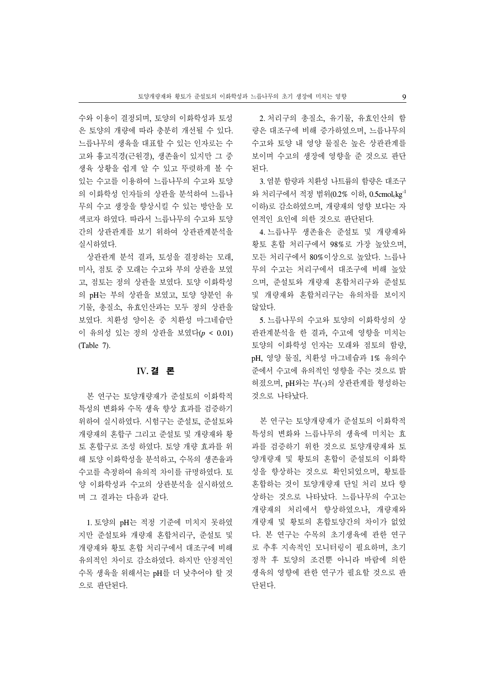수와 이용이 결정되며, 토양의 이화학성과 토성 은 토양의 개량에 따라 충분히 개선될 수 있다. 느릅나무의 생육을 대표할 수 있는 인자로는 수 고와 흉고직경(근원경), 생존율이 있지만 그 중 생육 상황을 쉽게 알 수 있고 뚜렷하게 볼 수 있는 수고를 이용하여 느릅나무의 수고와 토양 의 이화학성 인자들의 상관을 분석하여 느릅나 무의 수고 생장을 향상시킬 수 있는 방안을 모 색코자 하였다. 따라서 느릅나무의 수고와 토양 간의 상관관계를 보기 위하여 상관관계분석을 실시하였다.

상관관계 분석 결과, 토성을 결정하는 모래, 미사, 점토 중 모래는 수고와 부의 상관을 보였 고, 점토는 정의 상관을 보였다. 토양 이화학성 의 pH는 부의 상관을 보였고, 토양 양분인 유 기물, 총질소, 유효인산과는 모두 정의 상관을 보였다. 치환성 양이온 중 치환성 마그네슘만 이 유의성 있는 정의 상관을 보였다(*p* < 0.01) (Table 7).

# IV. 결 론

본 연구는 토양개량재가 준설토의 이화학적 특성의 변화와 수목 생육 향상 효과를 검증하기 위하여 실시하였다. 시험구는 준설토, 준설토와 개량재의 혼합구 그리고 준설토 및 개량재와 황 토 혼합구로 조성 하였다. 토양 개량 효과를 위 해 토양 이화학성을 분석하고, 수목의 생존율과 수고를 측정하여 유의적 차이를 규명하였다. 토 양 이화학성과 수고의 상관분석을 실시하였으 며 그 결과는 다음과 같다.

1. 토양의 pH는 적정 기준에 미치지 못하였 지만 준설토와 개량재 혼합처리구, 준설토 및 개량재와 황토 혼합 처리구에서 대조구에 비해 유의적인 차이로 감소하였다. 하지만 안정적인 수목 생육을 위해서는 pH를 더 낮추어야 할 것 으로 판단된다.

2. 처리구의 총질소, 유기물, 유효인산의 함 량은 대조구에 비해 증가하였으며, 느릅나무의 수고와 토양 내 영양 물질은 높은 상관관계를 보이며 수고의 생장에 영향을 준 것으로 판단 된다.

3. 염분 함량과 치환성 나트륨의 함량은 대조구 와 처리구에서 적정 범위(0.2% 이하, 0.5cmol.kg<sup>-1</sup> 이하)로 감소하였으며, 개량재의 영향 보다는 자 연적인 요인에 의한 것으로 판단된다.

4. 느릅나무 생존율은 준설토 및 개량재와 황토 혼합 처리구에서 98%로 가장 높았으며, 모든 처리구에서 80%이상으로 높았다. 느릅나 무의 수고는 처리구에서 대조구에 비해 높았 으며, 준설토와 개량재 혼합처리구와 준설토 및 개량재와 혼합처리구는 유의차를 보이지 않았다.

5. 느릅나무의 수고와 토양의 이화학성의 상 관관계분석을 한 결과, 수고에 영향을 미치는 토양의 이화학성 인자는 모래와 점토의 함량, pH, 영양 물질, 치환성 마그네슘과 1% 유의수 준에서 수고에 유의적인 영향을 주는 것으로 밝 혀졌으며, pH와는 부(-)의 상관관계를 형성하는 것으로 나타났다.

본 연구는 토양개량재가 준설토의 이화학적 특성의 변화와 느릅나무의 생육에 미치는 효 과를 검증하기 위한 것으로 토양개량재와 토 양개량재 및 황토의 혼합이 준설토의 이화학 성을 향상하는 것으로 확인되었으며, 황토를 혼합하는 것이 토양개량재 단일 처리 보다 향 상하는 것으로 나타났다. 느릅나무의 수고는 개량재의 처리에서 향상하였으나, 개량재와 개량재 및 황토의 혼합토양간의 차이가 없었 다. 본 연구는 수목의 초기생육에 관한 연구 로 추후 지속적인 모니터링이 필요하며, 초기 정착 후 토양의 조건뿐 아니라 바람에 의한 생육의 영향에 관한 연구가 필요할 것으로 판 단된다.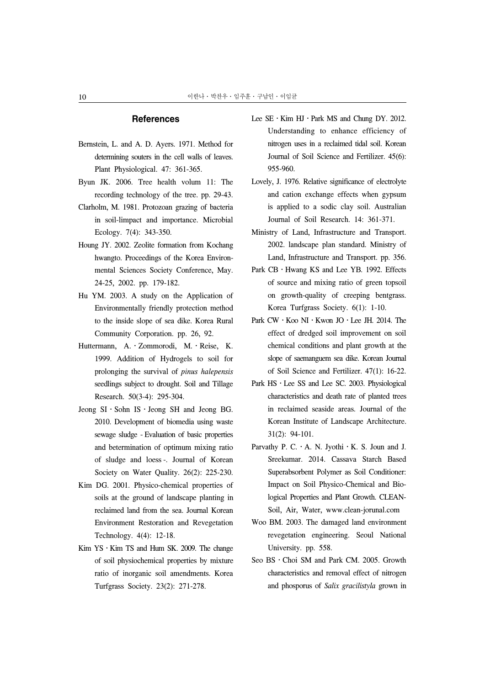#### **References**

- Bernstein, L. and A. D. Ayers. 1971. Method for determining souters in the cell walls of leaves. Plant Physiological. 47: 361-365.
- Byun JK. 2006. Tree health volum 11: The recording technology of the tree. pp. 29-43.
- Clarholm, M. 1981. Protozoan grazing of bacteria in soil-limpact and importance. Microbial Ecology. 7(4): 343-350.
- Houng JY. 2002. Zeolite formation from Kochang hwangto. Proceedings of the Korea Environmental Sciences Society Conference, May. 24-25, 2002. pp. 179-182.
- Hu YM. 2003. A study on the Application of Environmentally friendly protection method to the inside slope of sea dike. Korea Rural Community Corporation. pp. 26, 92.
- Huttermann, A.․Zommorodi, M.․Reise, K. 1999. Addition of Hydrogels to soil for prolonging the survival of *pinus halepensis* seedlings subject to drought. Soil and Tillage Research. 50(3-4): 295-304.
- Jeong SI․Sohn IS․Jeong SH and Jeong BG. 2010. Development of biomedia using waste sewage sludge - Evaluation of basic properties and betermination of optimum mixing ratio of sludge and loess -. Journal of Korean Society on Water Quality. 26(2): 225-230.
- Kim DG. 2001. Physico-chemical properties of soils at the ground of landscape planting in reclaimed land from the sea. Journal Korean Environment Restoration and Revegetation Technology. 4(4): 12-18.
- Kim  $YS \cdot$  Kim TS and Hum SK. 2009. The change of soil physiochemical properties by mixture ratio of inorganic soil amendments. Korea Turfgrass Society. 23(2): 271-278.
- Lee  $SE \cdot Kim HJ \cdot Park MS$  and Chung DY. 2012. Understanding to enhance efficiency of nitrogen uses in a reclaimed tidal soil. Korean Journal of Soil Science and Fertilizer. 45(6): 955-960.
- Lovely, J. 1976. Relative significance of electrolyte and cation exchange effects when gypsum is applied to a sodic clay soil. Australian Journal of Soil Research. 14: 361-371.
- Ministry of Land, Infrastructure and Transport. 2002. landscape plan standard. Ministry of Land, Infrastructure and Transport. pp. 356.
- Park CB ⋅ Hwang KS and Lee YB. 1992. Effects of source and mixing ratio of green topsoil on growth-quality of creeping bentgrass. Korea Turfgrass Society. 6(1): 1-10.
- Park CW ⋅ Koo NI ⋅ Kwon JO ⋅ Lee JH. 2014. The effect of dredged soil improvement on soil chemical conditions and plant growth at the slope of saemanguem sea dike. Korean Journal of Soil Science and Fertilizer. 47(1): 16-22.
- Park HS · Lee SS and Lee SC. 2003. Physiological characteristics and death rate of planted trees in reclaimed seaside areas. Journal of the Korean Institute of Landscape Architecture. 31(2): 94-101.
- Parvathy P. C.  $\cdot$  A. N. Jyothi  $\cdot$  K. S. Joun and J. Sreekumar. 2014. Cassava Starch Based Superabsorbent Polymer as Soil Conditioner: Impact on Soil Physico-Chemical and Biological Properties and Plant Growth. CLEAN-Soil, Air, Water, www.clean-jorunal.com
- Woo BM. 2003. The damaged land environment revegetation engineering. Seoul National University. pp. 558.
- Seo BS · Choi SM and Park CM. 2005. Growth characteristics and removal effect of nitrogen and phosporus of *Salix gracilistyla* grown in